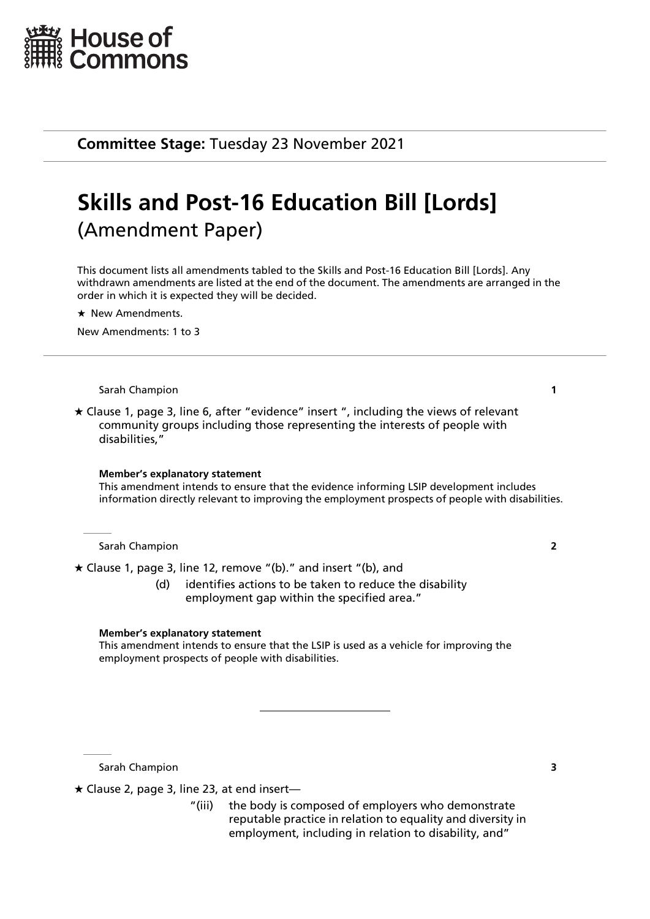

**Committee Stage:** Tuesday 23 November 2021

# **Skills and Post-16 Education Bill [Lords]** (Amendment Paper)

This document lists all amendments tabled to the Skills and Post-16 Education Bill [Lords]. Any withdrawn amendments are listed at the end of the document. The amendments are arranged in the order in which it is expected they will be decided.

 $\star$  New Amendments.

New Amendments: 1 to 3

### Sarah Champion **1**

 $\star$  Clause 1, page 3, line 6, after "evidence" insert ", including the views of relevant community groups including those representing the interests of people with disabilities,"

### **Member's explanatory statement**

This amendment intends to ensure that the evidence informing LSIP development includes information directly relevant to improving the employment prospects of people with disabilities.

### Sarah Champion **2**

Clause 1, page 3, line 12, remove "(b)." and insert "(b), and

(d) identifies actions to be taken to reduce the disability employment gap within the specified area."

### **Member's explanatory statement**

This amendment intends to ensure that the LSIP is used as a vehicle for improving the employment prospects of people with disabilities.

Sarah Champion **3**

 $\star$  Clause 2, page 3, line 23, at end insert—

"(iii) the body is composed of employers who demonstrate reputable practice in relation to equality and diversity in employment, including in relation to disability, and"